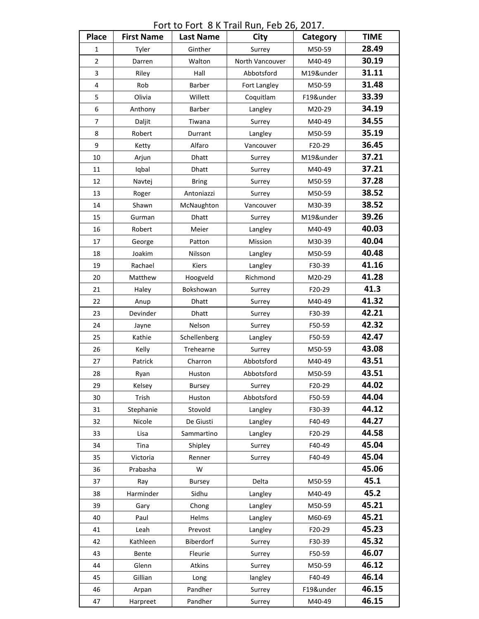Fort to Fort 8 K Trail Run, Feb 26, 2017.

| <b>Place</b>   | <b>First Name</b> | <b>Last Name</b> | City            | Category  | <b>TIME</b> |
|----------------|-------------------|------------------|-----------------|-----------|-------------|
| 1              | Tyler             | Ginther          | Surrey          | M50-59    | 28.49       |
| $\overline{2}$ | Darren            | Walton           | North Vancouver | M40-49    | 30.19       |
| 3              | Riley             | Hall             | Abbotsford      | M19&under | 31.11       |
| 4              | Rob               | Barber           | Fort Langley    | M50-59    | 31.48       |
| 5              | Olivia            | Willett          | Coquitlam       | F19&under | 33.39       |
| 6              | Anthony           | Barber           | Langley         | M20-29    | 34.19       |
| 7              | Daljit            | Tiwana           | Surrey          | M40-49    | 34.55       |
| 8              | Robert            | Durrant          | Langley         | M50-59    | 35.19       |
| 9              | Ketty             | Alfaro           | Vancouver       | F20-29    | 36.45       |
| 10             | Arjun             | <b>Dhatt</b>     | Surrey          | M19&under | 37.21       |
| 11             | Iqbal             | Dhatt            | Surrey          | M40-49    | 37.21       |
| 12             | Navtej            | <b>Bring</b>     | Surrey          | M50-59    | 37.28       |
| 13             | Roger             | Antoniazzi       | Surrey          | M50-59    | 38.52       |
| 14             | Shawn             | McNaughton       | Vancouver       | M30-39    | 38.52       |
| 15             | Gurman            | Dhatt            | Surrey          | M19&under | 39.26       |
| 16             | Robert            | Meier            | Langley         | M40-49    | 40.03       |
| 17             | George            | Patton           | Mission         | M30-39    | 40.04       |
| 18             | Joakim            | Nilsson          | Langley         | M50-59    | 40.48       |
| 19             | Rachael           | Kiers            | Langley         | F30-39    | 41.16       |
| 20             | Matthew           | Hoogveld         | Richmond        | M20-29    | 41.28       |
| 21             | Haley             | Bokshowan        | Surrey          | F20-29    | 41.3        |
| 22             | Anup              | Dhatt            | Surrey          | M40-49    | 41.32       |
| 23             | Devinder          | <b>Dhatt</b>     | Surrey          | F30-39    | 42.21       |
| 24             | Jayne             | Nelson           | Surrey          | F50-59    | 42.32       |
| 25             | Kathie            | Schellenberg     | Langley         | F50-59    | 42.47       |
| 26             | Kelly             | Trehearne        | Surrey          | M50-59    | 43.08       |
| 27             | Patrick           | Charron          | Abbotsford      | M40-49    | 43.51       |
| 28             | Ryan              | Huston           | Abbotsford      | M50-59    | 43.51       |
| 29             | Kelsey            | <b>Bursey</b>    | Surrey          | F20-29    | 44.02       |
| 30             | Trish             | Huston           | Abbotsford      | F50-59    | 44.04       |
| 31             | Stephanie         | Stovold          | Langley         | F30-39    | 44.12       |
| 32             | Nicole            | De Giusti        | Langley         | F40-49    | 44.27       |
| 33             | Lisa              | Sammartino       | Langley         | F20-29    | 44.58       |
| 34             | Tina              | Shipley          | Surrey          | F40-49    | 45.04       |
| 35             | Victoria          | Renner           | Surrey          | F40-49    | 45.04       |
| 36             | Prabasha          | W                |                 |           | 45.06       |
| 37             | Ray               | Bursey           | Delta           | M50-59    | 45.1        |
| 38             | Harminder         | Sidhu            | Langley         | M40-49    | 45.2        |
| 39             | Gary              | Chong            | Langley         | M50-59    | 45.21       |
| 40             | Paul              | Helms            | Langley         | M60-69    | 45.21       |
| 41             | Leah              | Prevost          | Langley         | F20-29    | 45.23       |
| 42             | Kathleen          | Biberdorf        | Surrey          | F30-39    | 45.32       |
| 43             | Bente             | Fleurie          | Surrey          | F50-59    | 46.07       |
| 44             | Glenn             | Atkins           | Surrey          | M50-59    | 46.12       |
| 45             | Gillian           | Long             | langley         | F40-49    | 46.14       |
| 46             | Arpan             | Pandher          | Surrey          | F19&under | 46.15       |
| 47             | Harpreet          | Pandher          | Surrey          | M40-49    | 46.15       |